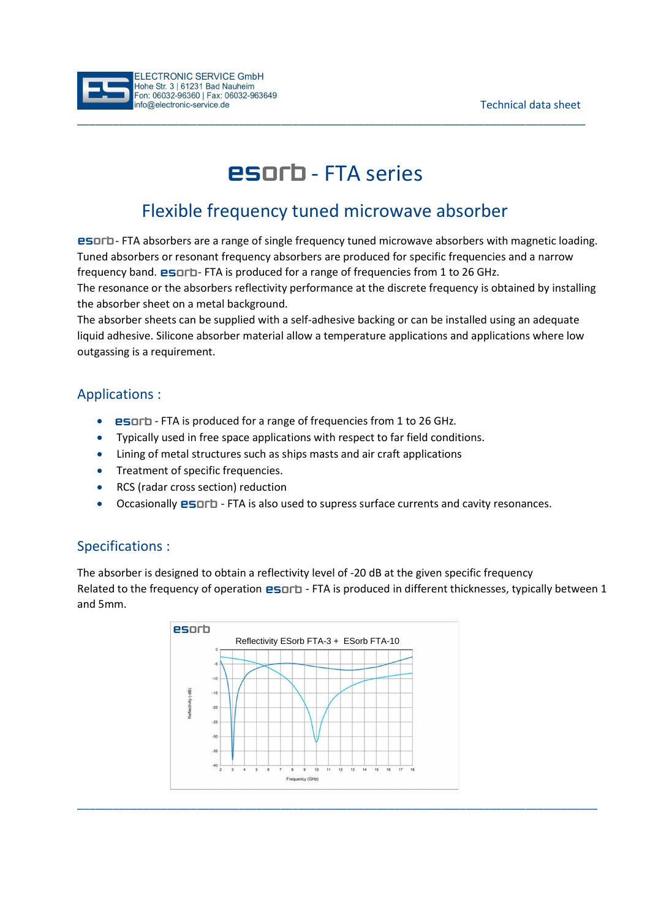

# **esorb** - FTA series

\_\_\_\_\_\_\_\_\_\_\_\_\_\_\_\_\_\_\_\_\_\_\_\_\_\_\_\_\_\_\_\_\_\_\_\_\_\_\_\_\_\_\_\_\_\_\_\_\_\_\_\_\_\_\_\_\_\_\_\_\_\_\_\_\_\_\_\_\_\_\_\_\_\_\_\_\_\_\_\_\_\_\_\_\_

## Flexible frequency tuned microwave absorber

**ESDFD** - FTA absorbers are a range of single frequency tuned microwave absorbers with magnetic loading. Tuned absorbers or resonant frequency absorbers are produced for specific frequencies and a narrow frequency band. **ESOFD**-FTA is produced for a range of frequencies from 1 to 26 GHz. The resonance or the absorbers reflectivity performance at the discrete frequency is obtained by installing the absorber sheet on a metal background.

The absorber sheets can be supplied with a self-adhesive backing or can be installed using an adequate liquid adhesive. Silicone absorber material allow a temperature applications and applications where low outgassing is a requirement.

#### Applications :

- **ESOLD** FTA is produced for a range of frequencies from 1 to 26 GHz.
- Typically used in free space applications with respect to far field conditions.
- Lining of metal structures such as ships masts and air craft applications
- **•** Treatment of specific frequencies.
- RCS (radar cross section) reduction
- Occasionally **ESOFD** FTA is also used to supress surface currents and cavity resonances.

### Specifications :

The absorber is designed to obtain a reflectivity level of -20 dB at the given specific frequency Related to the frequency of operation **esorb** - FTA is produced in different thicknesses, typically between 1 and 5mm.